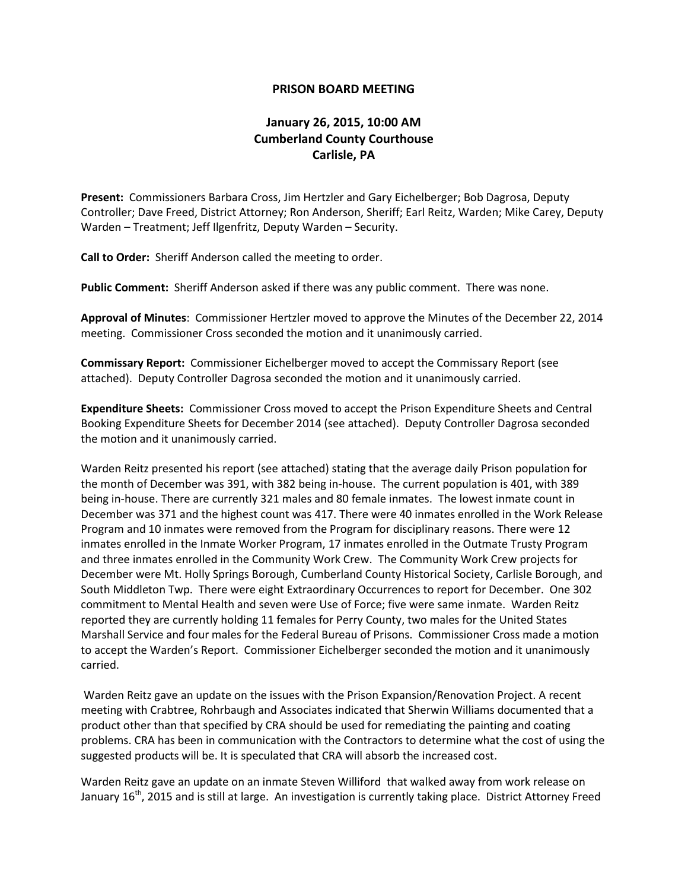## **PRISON BOARD MEETING**

## **January 26, 2015, 10:00 AM Cumberland County Courthouse Carlisle, PA**

**Present:** Commissioners Barbara Cross, Jim Hertzler and Gary Eichelberger; Bob Dagrosa, Deputy Controller; Dave Freed, District Attorney; Ron Anderson, Sheriff; Earl Reitz, Warden; Mike Carey, Deputy Warden – Treatment; Jeff Ilgenfritz, Deputy Warden – Security.

**Call to Order:** Sheriff Anderson called the meeting to order.

**Public Comment:** Sheriff Anderson asked if there was any public comment. There was none.

**Approval of Minutes**: Commissioner Hertzler moved to approve the Minutes of the December 22, 2014 meeting. Commissioner Cross seconded the motion and it unanimously carried.

**Commissary Report:** Commissioner Eichelberger moved to accept the Commissary Report (see attached). Deputy Controller Dagrosa seconded the motion and it unanimously carried.

**Expenditure Sheets:** Commissioner Cross moved to accept the Prison Expenditure Sheets and Central Booking Expenditure Sheets for December 2014 (see attached). Deputy Controller Dagrosa seconded the motion and it unanimously carried.

Warden Reitz presented his report (see attached) stating that the average daily Prison population for the month of December was 391, with 382 being in-house. The current population is 401, with 389 being in-house. There are currently 321 males and 80 female inmates. The lowest inmate count in December was 371 and the highest count was 417. There were 40 inmates enrolled in the Work Release Program and 10 inmates were removed from the Program for disciplinary reasons. There were 12 inmates enrolled in the Inmate Worker Program, 17 inmates enrolled in the Outmate Trusty Program and three inmates enrolled in the Community Work Crew. The Community Work Crew projects for December were Mt. Holly Springs Borough, Cumberland County Historical Society, Carlisle Borough, and South Middleton Twp. There were eight Extraordinary Occurrences to report for December. One 302 commitment to Mental Health and seven were Use of Force; five were same inmate. Warden Reitz reported they are currently holding 11 females for Perry County, two males for the United States Marshall Service and four males for the Federal Bureau of Prisons. Commissioner Cross made a motion to accept the Warden's Report. Commissioner Eichelberger seconded the motion and it unanimously carried.

Warden Reitz gave an update on the issues with the Prison Expansion/Renovation Project. A recent meeting with Crabtree, Rohrbaugh and Associates indicated that Sherwin Williams documented that a product other than that specified by CRA should be used for remediating the painting and coating problems. CRA has been in communication with the Contractors to determine what the cost of using the suggested products will be. It is speculated that CRA will absorb the increased cost.

Warden Reitz gave an update on an inmate Steven Williford that walked away from work release on January  $16^{th}$ , 2015 and is still at large. An investigation is currently taking place. District Attorney Freed